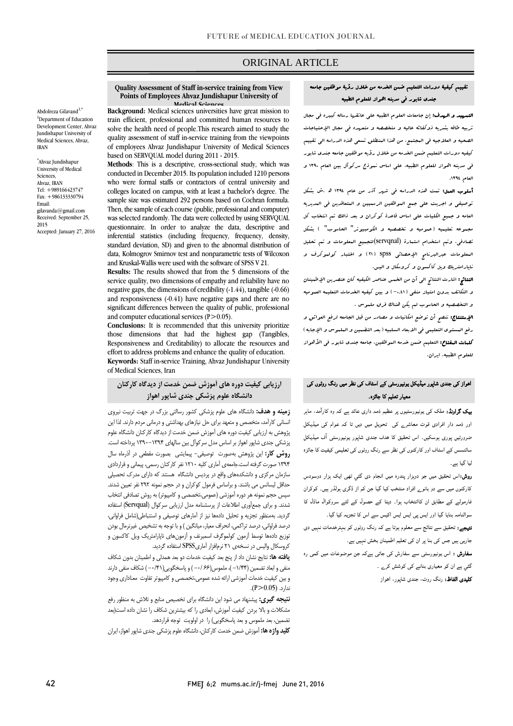# ORIGINAL ARTICLE

## تقييم كيفية دورات التعليم ضمن الخدمه من خالل رؤية موظفين جامعه جندي شابور في مدينه اهواز للعلوم الطبيه

ص

التمهيد و الهدف: إن جامعات العلوم الطبيه علي عاتقها رساله كبيره في مجال تربيه طاقه بشريه ذوكفائه عاليه و متخصصه و متعهده في مجال اإلحتياجات الصحيه و العالجيه في المجتمع، من هذا المنطلق تسعي هذه الدراسه الي تقييم كيفيه دورات التعليم ضمن الخدمه من خالل رؤيه موظفين جامعه جندي شابور في مدينه اهواز للعلوم الطبيه، علي اساس نموذج سركوآل بين العام 1390 و العام .1394

أسلوب العمل: تمت هذه الدراسه في شهر آذر من عام 1394 هد.ش بشكل توصيفي و اجريت علي جمع الموظفين الرسميين و المتعاقدين في المديريه العامه و جميع الكليات علي اساس قاعدة كوكران و بعد ذالک تم انتخاب كل مجهوعه تعليميه (عهوميه و تخصصيه و الكومبيوتر" العاسوب" ) بشكل تصادفي. وتم استخدام استمارة (servqnal(لتجميع المعلومات و تم تحليل المعلومات عبرالبرنامج اإلحصائي spss( 21 )و اختبار كولموكرف و ناپارامتريک ويل كاكسون و كروسكال و اليس.

النتائج: اشارت النتائج الي أن من الخمس عناصر الكيفيه كان عنصرين اإلطمينان و التكاتف بدون امتياز منفي )-0.41( و بين كيفيه الخدمات التعليمه العموميه و التخصصيه و الحاسوب لم يكن هناک فرق ملموس .

اإلستنتاج: ننصح أن توضع امكانيات و مصادر من قبل الجامعه لرفع العوائق و رفع المستوى التعليمي في الابعاد السلبيه ( بعد التضمين و البلهوس و الإجابه ) **كلهات العفتاح:** التعليم ضمن خدمه البوظفين، جامعه جندى شابور ف<sub>ى</sub> الأهواز للعلوم الطبيه، ايران.

## اھواز کی جندی شاپور میڈیکل یونیورسٹی کے اسٹاف کی نظر میں رنگ روٹوں کی معیار تعلیم کا جائزہ۔

**بیک گراونڈ:** ملک کی یونیورسٹیوں پر عظیم ذمہ داری عائد ہے کہ وہ کارآمد، ماہر اور ذمہ دار افرادی قوت معاشرے کی تحویل میں دیں تا کہ عوام کی میڈیکل ضرورتیں پوری ہوسکیں۔ اس تحقیق کا ہدف جندی شاپور یونیورسٹی آف میڈیکل سائنسس کے اسٹاف اور کارکنوں کی نظر سے رنگ روٹوں کی تعلیمی کیفیت کا جائزہ لیا گيا ہے۔

روش:اس تحقیق میں جو دوہزار پندرہ میں انجام دی گئي تھی ایک ہزار دوسودس کارکنوں میں سے دو بانوے افراد منتخب کیا گيا جن کم از ڈگری ہولڈر ہیں۔ کوکران فارمولے کے مطابق ان کاانتخاب ہوا۔ دیٹا کے حصول کے لئے سروکوال ماڈل کا سوالنامہ بنایا گيا اور ایس پی ایس ایس اکیس سے اس کا تجزیہ کیا گيا۔ نتیجے: تحقیق سے نتائج سے معلوم ہوتا ہے کہ رنگ روٹوں کو بہترخدمات نہیں دی جارہی ہیں جس کی بنا پر ان کی تعلیم اطمینان بخش نہيں ہے۔

سفارش : اس یونیورسٹی سے سفارش کی جاتی ہےکہ جن موضوعات میں کمی رہ گئي ہے ان کو معیاری بنانے کی کوشش کرے ۔

کلیدی الفاظ: رنگ روٹ، جندی شاپور، اھواز

#### **Quality Assessment of Staff in-service training from View Points of Employees Ahvaz Jundishapur University of Medical Science**

Abdolreza Gilavand<sup>1,\*</sup> <sup>1</sup>Department of Education Development Center, Ahvaz Jundishapur University of Medical Sciences, Ahvaz, IRAN

\* Ahvaz Jundishapur University of Medical Sciences, Ahvaz, IRAN Tel: +989166423747 Fax: +986133330794 Email: gilavanda@gmail.com Received: September 25, 2015 Accepted: January 27, 2016

**Background:** Medical sciences universities have great mission to train efficient, professional and committed human resources to solve the health need of people.This research aimed to study the quality assessment of staff in-service training from the viewpoints of employees Ahvaz Jundishapur University of Medical Sciences based on SERVQUAL model during 2011 - 2015.

**Methods**: This is a descriptive, cross-sectional study, which was conducted in December 2015. Its population included 1210 persons who were formal staffs or contractors of central university and colleges located on campus, with at least a bachelor's degree. The sample size was estimated 292 persons based on Cochran formula. Then, the sample of each course (public, professional and computer) was selected randomly. The data were collected by using SERVQUAL questionnaire. In order to analyze the data, descriptive and inferential statistics (including frequency, frequency, density, standard deviation, SD) and given to the abnormal distribution of data, Kolmogrov Smirnov test and nonparametric tests of Wilcoxon and Kruskal-Wallis were used with the software of SPSS V 21.

**Results:** The results showed that from the 5 dimensions of the service quality, two dimensions of empathy and reliability have no negative gaps, the dimensions of credibility (-1.44), tangible (-0.66) and responsiveness (-0.41) have negative gaps and there are no significant differences between the quality of public, professional and computer educational services  $(P>0.05)$ .

**Conclusions:** It is recommended that this university prioritize those dimensions that had the highest gap (Tangibles, Responsiveness and Creditability) to allocate the resources and effort to address problems and enhance the quality of education. **Keywords:** Staff in-service Training, Ahvaz Jundishapur University of Medical Sciences, Iran

**ارزيابی كيفيت دوره هاي آموزش ضمن خدمت از ديدگاه كاركنان دانشگاه علوم پزشکی جندي شاپور اهواز**

**زمينه و هدف:** دانشگاه های علوم پزشکی کشور رسالتی بزرگ در جهت تربیت نیروی انسانی کارآمد، متخصص و متعهد برای حل نیازهای بهداشتی و درمانی مردم دارند. لذا این پژوهش به ارزیابی کیفیت دوره های آموزش ضمن خدمت از دیدگاه کارکنان دانشگاه علوم پزشکی جندی شاپور اهواز بر اساس مدل سرکوآل بین سالهای 1390-1394 پرداخته است. **روش كار:** این پژوهش بهصورت توصیفی- پیمایشی بصورت مقطعی در آذرماه سال 1394 صورت گرفتهاست.جامعهی آماری کلیه 1210 نفر کارکنان رسمی، پیمانی و قراردادی سازمان مرکزی و دانشکدههای واقع در پردیس دانشگاه هستند که دارای مدرک تحصیلی حداقل لیسانس می باشند. و براساس فرمول کوکران و در حجم نمونه 292 نفر تعیین شدند. سپس حجم نمونه هر دوره آموزشی (عمومی،تخصصی و کامپیوتر) به روش تصادفی انتخاب شدند. و برای جمعآوری اطالعات از پرسشنامه مدل ارزیابی سرکوال )Servqual )استفاده گردید. بهمنظور تجزیه و تحلیل دادهها نیز از آمارهای توصیفی و استنباطی)شامل فراوانی، درصد فراوانی، درصد تراکمی، انحراف معیار، میانگین ( و با توجه به تشخیص غیرنرمال بودن توزیع دادهها توسط آزمون کولموگرف اسمیرنف و آزمونهای ناپارامتریك ویل کاکسون و کروسکال والیس در نسخهی 21 نرمافزار آماریSPSS استفاده گردید.

**يافته ها:** نتایج نشان داد از پنج بعد کیفیت خدمات دو بعد همدلی و اطمینان بدون شکاف منفی و ابعاد تضمین )-1/44 (، ملموس)66 -0/ ( و پاسخگویی)-0/41 ( شکاف منفی دارند و بین کیفیت خدمات آموزشی ارائه شده عمومی،تخصصی و کامپیوتر تفاوت معناداری وجود  $(P > 0.05)$ .

**نتيجه گيري:** پیشنهاد می شود این دانشگاه برای تخصیص منابع و تالش به منظور رفع مشکالت و باال بردن کیفیت آموزش، ابعادی را که بیشترین شکاف را نشان داده است)بعد تضمین، بعد ملموس و بعد پاسخگویی( را در اولویت توجه قراردهد.

**كليد واژه ها:** آموزش ضمن خدمت کارکنان، دانشگاه علوم پزشکی جندی شاپور اهواز، ایران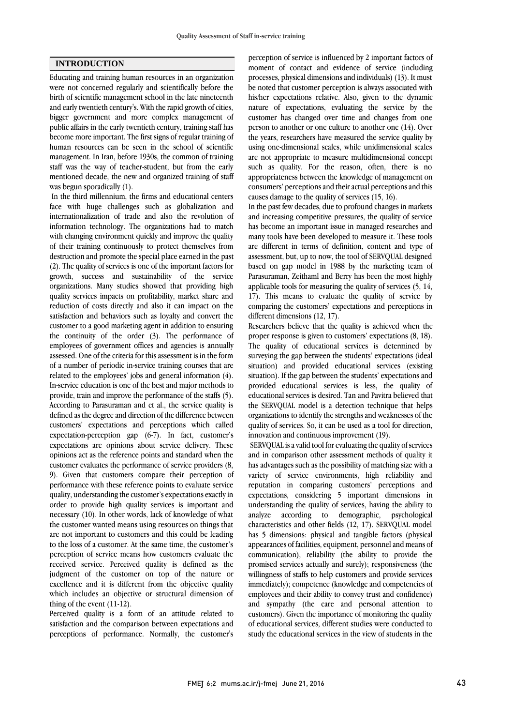## **INTRODUCTION**

Educating and training human resources in an organization were not concerned regularly and scientifically before the birth of scientific management school in the late nineteenth and early twentieth century's. With the rapid growth of cities, bigger government and more complex management of public affairs in the early twentieth century, training staff has become more important. The first signs of regular training of human resources can be seen in the school of scientific management. In Iran, before 1930s, the common of training staff was the way of teacher-student, but from the early mentioned decade, the new and organized training of staff was begun sporadically (1).

In the third millennium, the firms and educational centers face with huge challenges such as globalization and internationalization of trade and also the revolution of information technology. The organizations had to match with changing environment quickly and improve the quality of their training continuously to protect themselves from destruction and promote the special place earned in the past (2). The quality of services is one of the important factors for growth, success and sustainability of the service organizations. Many studies showed that providing high quality services impacts on profitability, market share and reduction of costs directly and also it can impact on the satisfaction and behaviors such as loyalty and convert the customer to a good marketing agent in addition to ensuring the continuity of the order (3). The performance of employees of government offices and agencies is annually assessed. One of the criteria for this assessment is in the form of a number of periodic in-service training courses that are related to the employees' jobs and general information (4). In-service education is one of the best and major methods to provide, train and improve the performance of the staffs (5). According to Parasuraman and et al., the service quality is defined as the degree and direction of the difference between customers' expectations and perceptions which called expectation-perception gap (6-7). In fact, customer's expectations are opinions about service delivery. These opinions act as the reference points and standard when the customer evaluates the performance of service providers (8, 9). Given that customers compare their perception of performance with these reference points to evaluate service quality, understanding the customer's expectations exactly in order to provide high quality services is important and necessary (10). In other words, lack of knowledge of what the customer wanted means using resources on things that are not important to customers and this could be leading to the loss of a customer. At the same time, the customer's perception of service means how customers evaluate the received service. Perceived quality is defined as the judgment of the customer on top of the nature or excellence and it is different from the objective quality which includes an objective or structural dimension of thing of the event (11-12).

Perceived quality is a form of an attitude related to satisfaction and the comparison between expectations and perceptions of performance. Normally, the customer's

perception of service is influenced by 2 important factors of moment of contact and evidence of service (including processes, physical dimensions and individuals) (13). It must be noted that customer perception is always associated with his/her expectations relative. Also, given to the dynamic nature of expectations, evaluating the service by the customer has changed over time and changes from one person to another or one culture to another one (14). Over the years, researchers have measured the service quality by using one-dimensional scales, while unidimensional scales are not appropriate to measure multidimensional concept such as quality. For the reason, often, there is no appropriateness between the knowledge of management on consumers' perceptions and their actual perceptions and this causes damage to the quality of services (15, 16).

In the past few decades, due to profound changes in markets and increasing competitive pressures, the quality of service has become an important issue in managed researches and many tools have been developed to measure it. These tools are different in terms of definition, content and type of assessment, but, up to now, the tool of SERVQUAL designed based on gap model in 1988 by the marketing team of Parasuraman, Zeithaml and Berry has been the most highly applicable tools for measuring the quality of services (5, 14, 17). This means to evaluate the quality of service by comparing the customers' expectations and perceptions in different dimensions (12, 17).

Researchers believe that the quality is achieved when the proper response is given to customers' expectations (8, 18). The quality of educational services is determined by surveying the gap between the students' expectations (ideal situation) and provided educational services (existing situation). If the gap between the students' expectations and provided educational services is less, the quality of educational services is desired. Tan and Pavitra believed that the SERVQUAL model is a detection technique that helps organizations to identify the strengths and weaknesses of the quality of services. So, it can be used as a tool for direction, innovation and continuous improvement (19).

SERVQUAL is a valid tool for evaluating the quality of services and in comparison other assessment methods of quality it has advantages such as the possibility of matching size with a variety of service environments, high reliability and reputation in comparing customers' perceptions and expectations, considering 5 important dimensions in understanding the quality of services, having the ability to analyze according to demographic, psychological characteristics and other fields (12, 17). SERVQUAL model has 5 dimensions: physical and tangible factors (physical appearances of facilities, equipment, personnel and means of communication), reliability (the ability to provide the promised services actually and surely); responsiveness (the willingness of staffs to help customers and provide services immediately); competence (knowledge and competencies of employees and their ability to convey trust and confidence) and sympathy (the care and personal attention to customers). Given the importance of monitoring the quality of educational services, different studies were conducted to study the educational services in the view of students in the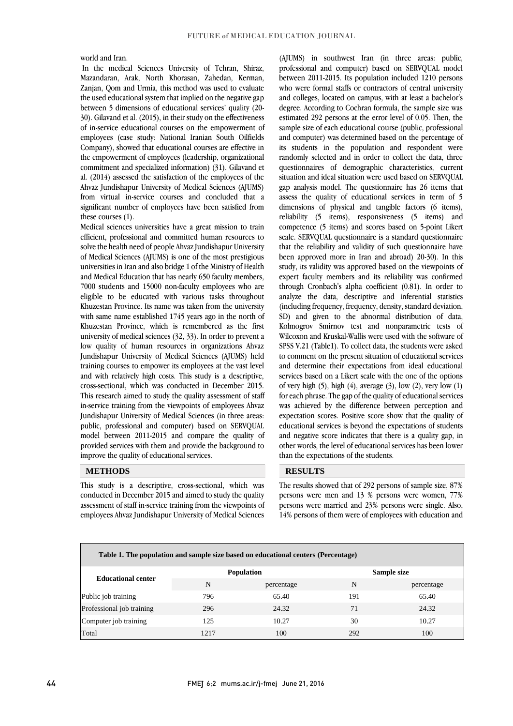world and Iran.

In the medical Sciences University of Tehran, Shiraz, Mazandaran, Arak, North Khorasan, Zahedan, Kerman, Zanjan, Qom and Urmia, this method was used to evaluate the used educational system that implied on the negative gap between 5 dimensions of educational services' quality (20- 30). Gilavand et al. (2015), in their study on the effectiveness of in-service educational courses on the empowerment of employees (case study: National Iranian South Oilfields Company), showed that educational courses are effective in the empowerment of employees (leadership, organizational commitment and specialized information) (31). Gilavand et al. (2014) assessed the satisfaction of the employees of the Ahvaz Jundishapur University of Medical Sciences (AJUMS) from virtual in-service courses and concluded that a significant number of employees have been satisfied from these courses (1).

Medical sciences universities have a great mission to train efficient, professional and committed human resources to solve the health need of people Ahvaz Jundishapur University of Medical Sciences (AJUMS) is one of the most prestigious universities in Iran and also bridge 1 of the Ministry of Health and Medical Education that has nearly 650 faculty members, 7000 students and 15000 non-faculty employees who are eligible to be educated with various tasks throughout Khuzestan Province. Its name was taken from the university with same name established 1745 years ago in the north of Khuzestan Province, which is remembered as the first university of medical sciences (32, 33). In order to prevent a low quality of human resources in organizations Ahvaz Jundishapur University of Medical Sciences (AJUMS) held training courses to empower its employees at the vast level and with relatively high costs. This study is a descriptive, cross-sectional, which was conducted in December 2015. This research aimed to study the quality assessment of staff in-service training from the viewpoints of employees Ahvaz Jundishapur University of Medical Sciences (in three areas: public, professional and computer) based on SERVQUAL model between 2011-2015 and compare the quality of provided services with them and provide the background to improve the quality of educational services.

### **METHODS**

This study is a descriptive, cross-sectional, which was conducted in December 2015 and aimed to study the quality assessment of staff in-service training from the viewpoints of employees Ahvaz Jundishapur University of Medical Sciences

(AJUMS) in southwest Iran (in three areas: public, professional and computer) based on SERVQUAL model between 2011-2015. Its population included 1210 persons who were formal staffs or contractors of central university and colleges, located on campus, with at least a bachelor's degree. According to Cochran formula, the sample size was estimated 292 persons at the error level of 0.05. Then, the sample size of each educational course (public, professional and computer) was determined based on the percentage of its students in the population and respondent were randomly selected and in order to collect the data, three questionnaires of demographic characteristics, current situation and ideal situation were used based on SERVOUAL gap analysis model. The questionnaire has 26 items that assess the quality of educational services in term of 5 dimensions of physical and tangible factors (6 items), reliability (5 items), responsiveness (5 items) and competence (5 items) and scores based on 5-point Likert scale. SERVQUAL questionnaire is a standard questionnaire that the reliability and validity of such questionnaire have been approved more in Iran and abroad) 20-30). In this study, its validity was approved based on the viewpoints of expert faculty members and its reliability was confirmed through Cronbach's alpha coefficient (0.81). In order to analyze the data, descriptive and inferential statistics (including frequency, frequency, density, standard deviation, SD) and given to the abnormal distribution of data, Kolmogrov Smirnov test and nonparametric tests of Wilcoxon and Kruskal-Wallis were used with the software of SPSS V.21 (Table1). To collect data, the students were asked to comment on the present situation of educational services and determine their expectations from ideal educational services based on a Likert scale with the one of the options of very high  $(5)$ , high  $(4)$ , average  $(3)$ , low  $(2)$ , very low  $(1)$ for each phrase. The gap of the quality of educational services was achieved by the difference between perception and expectation scores. Positive score show that the quality of educational services is beyond the expectations of students and negative score indicates that there is a quality gap, in other words, the level of educational services has been lower than the expectations of the students.

## **RESULTS**

The results showed that of 292 persons of sample size, 87% persons were men and 13 % persons were women, 77% persons were married and 23% persons were single. Also, 14% persons of them were of employees with education and

| Table 1. The population and sample size based on educational centers (Percentage) |      |                   |             |            |  |  |
|-----------------------------------------------------------------------------------|------|-------------------|-------------|------------|--|--|
| <b>Educational center</b>                                                         |      | <b>Population</b> | Sample size |            |  |  |
|                                                                                   | N    | percentage        | N           | percentage |  |  |
| Public job training                                                               | 796  | 65.40             | 191         | 65.40      |  |  |
| Professional job training                                                         | 296  | 24.32             | 71          | 24.32      |  |  |
| Computer job training                                                             | 125  | 10.27             | 30          | 10.27      |  |  |
| Total                                                                             | 1217 | 100               | 292         | 100        |  |  |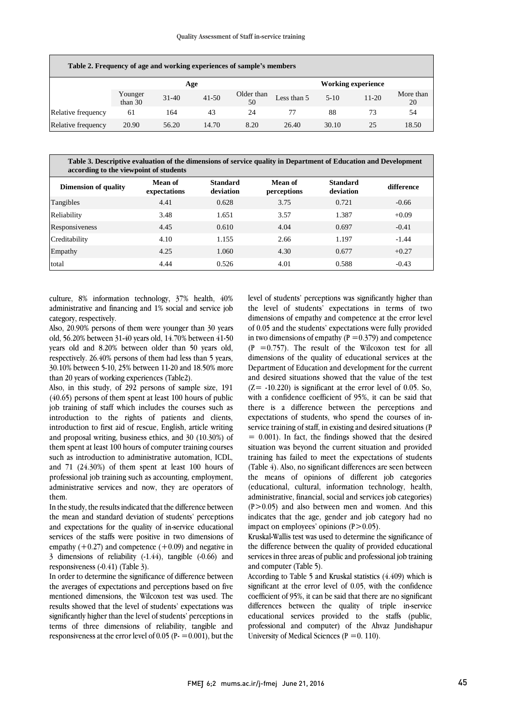| Table 2. Frequency of age and working experiences of sample's members |                    |           |           |                  |                           |          |           |                 |
|-----------------------------------------------------------------------|--------------------|-----------|-----------|------------------|---------------------------|----------|-----------|-----------------|
|                                                                       | Age                |           |           |                  | <b>Working experience</b> |          |           |                 |
|                                                                       | Younger<br>than 30 | $31 - 40$ | $41 - 50$ | Older than<br>50 | Less than 5               | $5 - 10$ | $11 - 20$ | More than<br>20 |
| Relative frequency                                                    | 61                 | 164       | 43        | 24               | 77                        | 88       | 73        | 54              |
| Relative frequency                                                    | 20.90              | 56.20     | 14.70     | 8.20             | 26.40                     | 30.10    | 25        | 18.50           |

**Table 3. Descriptive evaluation of the dimensions of service quality in Department of Education and Development according to the viewpoint of students**

| <b>Dimension of quality</b> | <b>Mean of</b><br>expectations | <b>Standard</b><br>deviation | Mean of<br>perceptions | <b>Standard</b><br>deviation | difference |
|-----------------------------|--------------------------------|------------------------------|------------------------|------------------------------|------------|
| Tangibles                   | 4.41                           | 0.628                        | 3.75                   | 0.721                        | $-0.66$    |
| Reliability                 | 3.48                           | 1.651                        | 3.57                   | 1.387                        | $+0.09$    |
| Responsiveness              | 4.45                           | 0.610                        | 4.04                   | 0.697                        | $-0.41$    |
| Creditability               | 4.10                           | 1.155                        | 2.66                   | 1.197                        | $-1.44$    |
| Empathy                     | 4.25                           | 1.060                        | 4.30                   | 0.677                        | $+0.27$    |
| total                       | 4.44                           | 0.526                        | 4.01                   | 0.588                        | $-0.43$    |

culture, 8% information technology, 37% health, 40% administrative and financing and 1% social and service job category, respectively.

Also, 20.90% persons of them were younger than 30 years old, 56.20% between 31-40 years old, 14.70% between 41-50 years old and 8.20% between older than 50 years old, respectively. 26.40% persons of them had less than 5 years, 30.10% between 5-10, 25% between 11-20 and 18.50% more than 20 years of working experiences (Table2).

Also, in this study, of 292 persons of sample size, 191 (40.65) persons of them spent at least 100 hours of public job training of staff which includes the courses such as introduction to the rights of patients and clients, introduction to first aid of rescue, English, article writing and proposal writing, business ethics, and 30 (10.30%) of them spent at least 100 hours of computer training courses such as introduction to administrative automation, ICDL, and 71 (24.30%) of them spent at least 100 hours of professional job training such as accounting, employment, administrative services and now, they are operators of them.

In the study, the results indicated that the difference between the mean and standard deviation of students' perceptions and expectations for the quality of in-service educational services of the staffs were positive in two dimensions of empathy  $(+0.27)$  and competence  $(+0.09)$  and negative in 3 dimensions of reliability (-1.44), tangible (-0.66) and responsiveness (-0.41) (Table 3).

In order to determine the significance of difference between the averages of expectations and perceptions based on five mentioned dimensions, the Wilcoxon test was used. The results showed that the level of students' expectations was significantly higher than the level of students' perceptions in terms of three dimensions of reliability, tangible and responsiveness at the error level of 0.05 (P $=$  = 0.001), but the

level of students' perceptions was significantly higher than the level of students' expectations in terms of two dimensions of empathy and competence at the error level of 0.05 and the students' expectations were fully provided in two dimensions of empathy ( $P = 0.379$ ) and competence  $(P = 0.757)$ . The result of the Wilcoxon test for all dimensions of the quality of educational services at the Department of Education and development for the current and desired situations showed that the value of the test  $(Z=-10.220)$  is significant at the error level of 0.05. So, with a confidence coefficient of 95%, it can be said that there is a difference between the perceptions and expectations of students, who spend the courses of inservice training of staff, in existing and desired situations (P  $= 0.001$ ). In fact, the findings showed that the desired situation was beyond the current situation and provided training has failed to meet the expectations of students (Table 4). Also, no significant differences are seen between the means of opinions of different job categories (educational, cultural, information technology, health, administrative, financial, social and services job categories)  $(P>0.05)$  and also between men and women. And this indicates that the age, gender and job category had no impact on employees' opinions  $(P>0.05)$ .

Kruskal-Wallis test was used to determine the significance of the difference between the quality of provided educational services in three areas of public and professional job training and computer (Table 5).

According to Table 5 and Kruskal statistics (4.409) which is significant at the error level of 0.05, with the confidence coefficient of 95%, it can be said that there are no significant differences between the quality of triple in-service educational services provided to the staffs (public, professional and computer) of the Ahvaz Jundishapur University of Medical Sciences ( $P = 0.110$ ).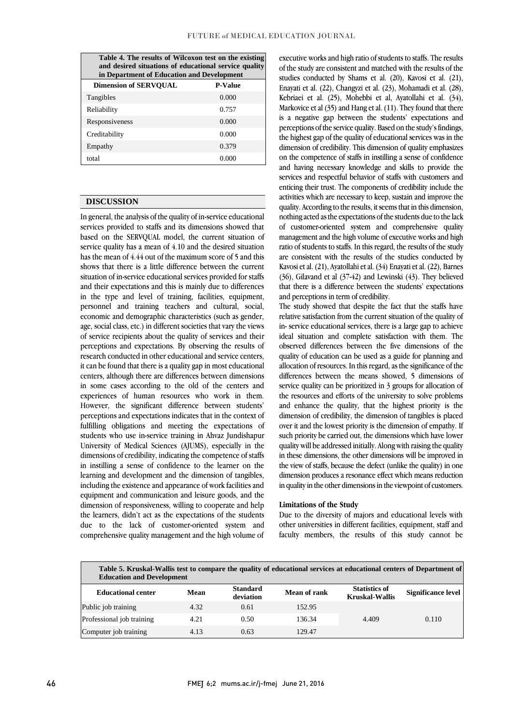| Table 4. The results of Wilcoxon test on the existing<br>and desired situations of educational service quality<br>in Department of Education and Development |                |  |  |  |  |
|--------------------------------------------------------------------------------------------------------------------------------------------------------------|----------------|--|--|--|--|
| <b>Dimension of SERVOUAL</b>                                                                                                                                 | <b>P-Value</b> |  |  |  |  |
| Tangibles                                                                                                                                                    | 0.000          |  |  |  |  |
| Reliability                                                                                                                                                  | 0.757          |  |  |  |  |
| Responsiveness                                                                                                                                               | 0.000          |  |  |  |  |
| Creditability                                                                                                                                                | 0.000          |  |  |  |  |
| Empathy                                                                                                                                                      | 0.379          |  |  |  |  |
| total                                                                                                                                                        | 0.000          |  |  |  |  |

## **DISCUSSION**

In general, the analysis of the quality of in-service educational services provided to staffs and its dimensions showed that based on the SERVQUAL model, the current situation of service quality has a mean of 4.10 and the desired situation has the mean of 4.44 out of the maximum score of 5 and this shows that there is a little difference between the current situation of in-service educational services provided for staffs and their expectations and this is mainly due to differences in the type and level of training, facilities, equipment, personnel and training teachers and cultural, social, economic and demographic characteristics (such as gender, age, social class, etc.) in different societies that vary the views of service recipients about the quality of services and their perceptions and expectations. By observing the results of research conducted in other educational and service centers, it can be found that there is a quality gap in most educational centers, although there are differences between dimensions in some cases according to the old of the centers and experiences of human resources who work in them. However, the significant difference between students' perceptions and expectations indicates that in the context of fulfilling obligations and meeting the expectations of students who use in-service training in Ahvaz Jundishapur University of Medical Sciences (AJUMS), especially in the dimensions of credibility, indicating the competence of staffs in instilling a sense of confidence to the learner on the learning and development and the dimension of tangibles, including the existence and appearance of work facilities and equipment and communication and leisure goods, and the dimension of responsiveness, willing to cooperate and help the learners, didn't act as the expectations of the students due to the lack of customer-oriented system and comprehensive quality management and the high volume of

executive works and high ratio of students to staffs. The results of the study are consistent and matched with the results of the studies conducted by Shams et al. (20), Kavosi et al. (21), Enayati et al. (22), Changyzi et al. (23), Mohamadi et al. (28), Kebriaei et al. (25), Mohebbi et al, Ayatollahi et al. (34), Markovice et al (35) and Hang et al. (11). They found that there is a negative gap between the students' expectations and perceptions of the service quality. Based on the study's findings, the highest gap of the quality of educational services was in the dimension of credibility. This dimension of quality emphasizes on the competence of staffs in instilling a sense of confidence and having necessary knowledge and skills to provide the services and respectful behavior of staffs with customers and enticing their trust. The components of credibility include the activities which are necessary to keep, sustain and improve the quality. According to the results, it seems that in this dimension, nothing acted as the expectations of the students due to the lack of customer-oriented system and comprehensive quality management and the high volume of executive works and high ratio of students to staffs. In this regard, the results of the study are consistent with the results of the studies conducted by Kavosi et al. (21), Ayatollahi et al. (34) Enayati et al. (22), Barnes (36), Gilavand et al (37-42) and Lewinski (43). They believed that there is a difference between the students' expectations and perceptions in term of credibility.

The study showed that despite the fact that the staffs have relative satisfaction from the current situation of the quality of in- service educational services, there is a large gap to achieve ideal situation and complete satisfaction with them. The observed differences between the five dimensions of the quality of education can be used as a guide for planning and allocation of resources. In this regard, as the significance of the differences between the means showed, 5 dimensions of service quality can be prioritized in 3 groups for allocation of the resources and efforts of the university to solve problems and enhance the quality, that the highest priority is the dimension of credibility, the dimension of tangibles is placed over it and the lowest priority is the dimension of empathy. If such priority be carried out, the dimensions which have lower quality will be addressed initially. Along with raising the quality in these dimensions, the other dimensions will be improved in the view of staffs, because the defect (unlike the quality) in one dimension produces a resonance effect which means reduction in quality in the other dimensions in the viewpoint of customers.

### **Limitations of the Study**

Due to the diversity of majors and educational levels with other universities in different facilities, equipment, staff and faculty members, the results of this study cannot be

| Table 5. Kruskal-Wallis test to compare the quality of educational services at educational centers of Department of<br><b>Education and Development</b> |      |                              |              |                                               |                           |  |
|---------------------------------------------------------------------------------------------------------------------------------------------------------|------|------------------------------|--------------|-----------------------------------------------|---------------------------|--|
| <b>Educational center</b>                                                                                                                               | Mean | <b>Standard</b><br>deviation | Mean of rank | <b>Statistics of</b><br><b>Kruskal-Wallis</b> | <b>Significance level</b> |  |
| Public job training                                                                                                                                     | 4.32 | 0.61                         | 152.95       |                                               |                           |  |
| Professional job training                                                                                                                               | 4.21 | 0.50                         | 136.34       | 4.409                                         | 0.110                     |  |
| Computer job training                                                                                                                                   | 4.13 | 0.63                         | 129.47       |                                               |                           |  |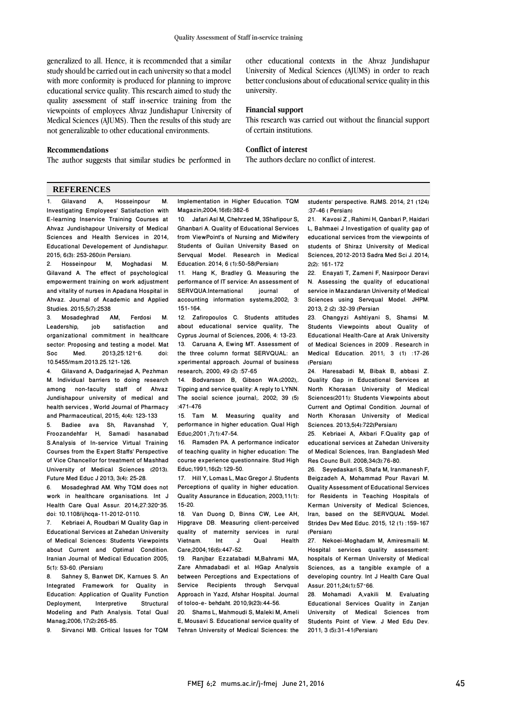generalized to all. Hence, it is recommended that a similar study should be carried out in each university so that a model with more conformity is produced for planning to improve educational service quality. This research aimed to study the quality assessment of staff in-service training from the viewpoints of employees Ahvaz Jundishapur University of Medical Sciences (AJUMS). Then the results of this study are not generalizable to other educational environments.

### **Recommendations**

The author suggests that similar studies be performed in

#### **REFERENCES**

1. Gilavand A, Hosseinpour M. Investigating Employees' Satisfaction with E-learning Inservice Training Courses at Ahvaz Jundishapour University of Medical Sciences and Health Services in 2014, Educational Developement of Jundishapur. 2015; 6(3): 253-260(in Persian).

2. Hosseinpour M, Moghadasi M. Gilavand A. The effect of psychological empowerment training on work adjustment and vitality of nurses in Apadana Hospital in Ahvaz. Journal of Academic and Applied Studies. 2015;5(7):2538<br>3 Mosadeghrad

3. Mosadeghrad AM, Ferdosi M. satisfaction organizational commitment in healthcare sector: Proposing and testing a model. Mat<br>Soc. Med. 2013:25:121-6. doi: 2013:25:121-6. 10.5455/msm.2013.25.121-126.

4. Gilavand A, Dadgarinejad A, Pezhman M. Individual barriers to doing research among non-faculty staff of Ahvaz Jundishapour university of medical and health services , World Journal of Pharmacy and Pharmaceutical, 2015; 4(4): 123-133

5. Badiee ava Sh, Ravanshad Y, Froozandehfar H, Samadi hasanabad S.Analysis of In-service Virtual Training Courses from the Expert Staffs' Perspective of Vice Chancellor for treatment of Mashhad University of Medical Sciences (2013).

Future Med Educ J 2013; 3(4): 25-28.<br>6. Mosadeghrad AM, Why TOM do 6. Mosadeghrad AM. Why TQM does not work in healthcare organisations. Int J Health Care Qual Assur. 2014;27:320–35. doi: 10.1108/ijhcqa-11-2012-0110.

7. Kebriaei A, Roudbari M Quality Gap in Educational Services at Zahedan University of Medical Sciences: Students Viewpoints about Current and Optimal Condition. Iranian Journal of Medical Education 2005; 5(1): 53-60. (Persian)

Sahney S, Banwet DK, Karnues S. An Integrated Framework for Quality in **Education: Application of Quality Function**<br>Deployment Interpretive Structural Interpretive Structural Modeling and Path Analysis. Total Qual Manag;2006;17(2):265-85.<br>9 Sirvanci MB Critica

9. Sirvanci MB. Critical Issues for TQM

other educational contexts in the Ahvaz Jundishapur University of Medical Sciences (AJUMS) in order to reach better conclusions about of educational service quality in this university.

#### **Financial support**

This research was carried out without the financial support of certain institutions.

### **Conflict of interest**

The authors declare no conflict of interest.

Implementation in Higher Education. TQM Magazin;2004;16(6):382-6

10. Jafari Asl M, Chehrzed M, 3Shafipour S, Ghanbari A. Quality of Educational Services from ViewPoint's of Nursing and Midwifery Students of Guilan University Based on Servqual Model. Research in Medical Education. 2014; 6 (1):50-58(Persian)

11. Hang K, Bradley G. Measuring the performance of IT service: An assessment of<br>SERVQUA.International journal of SERVQUA.International accounting information systems;2002; 3: 151-164.

12. Zafiropoulos C. Students attitudes about educational service quality, The Cyprus Journal of Sciences, 2006; 4: 13-23. 13. Caruana A, Ewing MT. Assessment of the three column format SERVQUAL: an xperimental approach. Journal of business research;. 2000; 49 (2) :57-65

14. Bodvarsson B, Gibson WA.(2002),. Tipping and service quality: A reply to LYNN. The social science journal;. 2002; 39 (5) :471-476

15. Tam M. Measuring quality and performance in higher education. Qual High Educ;2001 ;7(1):47-54.

16. Ramsden PA. A performance indicator of teaching quality in higher education: The course experience questionnaire. Stud High Educ;1991;16(2):129-50.

17. Hill Y, Lomas L, Mac Gregor J. Students Perceptions of quality in higher education. Quality Assurance in Education; 2003;11(1): 15-20.

18. Van Duong D, Binns CW, Lee AH, Hipgrave DB. Measuring client-perceived quality of maternity services in rural<br>Vietnam lnt J. Qual Health Vietnam. Care;2004;16(6):447-52.

19. Ranjbar Ezzatabadi M,Bahrami MA, Zare Ahmadabadi et al. HGap Analysis between Perceptions and Expectations of Service Recipients through Servqual Approach in Yazd, Afshar Hospital. Journal of toloo-e- behdaht. 2010;9(23):44-56.

20. Shams L, Mahmoudi S, Maleki M, Ameli E, Mousavi S. Educational service quality of Tehran University of Medical Sciences: the

students' perspective. RJMS. 2014; 21 (124) :37-46 ( Persian)

21. Kavosi Z , Rahimi H, Qanbari P, Haidari L, Bahmaei J Investigation of quality gap of educational services from the viewpoints of students of Shiraz University of Medical Sciences, 2012-2013 Sadra Med Sci J. 2014; 2(2): 161-172

22. Enayati T, Zameni F, Nasirpoor Deravi N. Assessing the quality of educational service in Mazandaran University of Medical Sciences using Servqual Model. JHPM. 2013; 2 (2) :32-39 (Persian

23. Changyzi Ashtiyani S, Shamsi M. Students Viewpoints about Quality of Educational Health-Care at Arak University of Medical Sciences in 2009 . Research in Medical Education. 2011; 3 (1) :17-26 (Persian)

24. Haresabadi M, Bibak B, abbasi Z. Quality Gap in Educational Services at North Khorasan University of Medical Sciences(2011): Students Viewpoints about Current and Optimal Condition. Journal of North Khorasan University of Medical Sciences. 2013;5(4):722(Persian)

25. Kebriaei A, Akbari F.Quality gap of educational services at Zahedan University of Medical Sciences, Iran. Bangladesh Med Res Counc Bull. 2008;34(3):76-80.

26. Seyedaskari S, Shafa M, Iranmanesh F, Beigzadeh A, Mohammad Pour Ravari M. Quality Assessment of Educational Services for Residents in Teaching Hospitals of Kerman University of Medical Sciences, Iran, based on the SERVQUAL Model. Strides Dev Med Educ. 2015; 12 (1) :159-167 (Persian)

27. Nekoei-Moghadam M, Amiresmaili M. Hospital services quality assessment: hospitals of Kerman University of Medical Sciences, as a tangible example of a developing country. Int J Health Care Qual Assur. 2011;24(1):57–66.

28. Mohamadi A,vakili M. Evaluating Educational Services Quality in Zanjan University of Medical Sciences from Students Point of View. J Med Edu Dev. 2011; 3 (5):31-41(Persian)